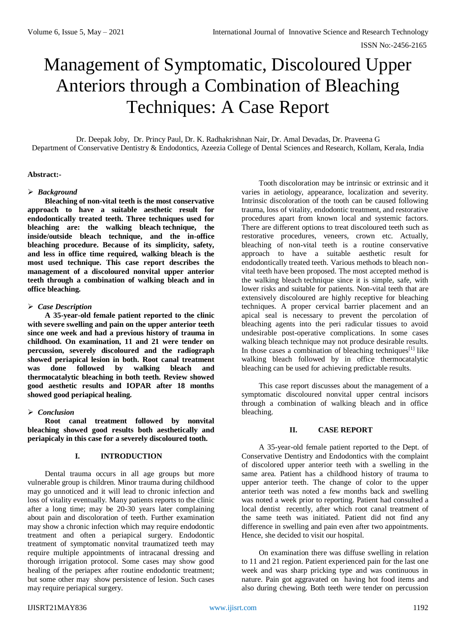# Management of Symptomatic, Discoloured Upper Anteriors through a Combination of Bleaching Techniques: A Case Report

Dr. Deepak Joby, Dr. Princy Paul, Dr. K. Radhakrishnan Nair, Dr. Amal Devadas, Dr. Praveena G Department of Conservative Dentistry & Endodontics, Azeezia College of Dental Sciences and Research, Kollam, Kerala, India

## **Abstract:-**

## *Background*

**Bleaching of non-vital teeth is the most conservative approach to have a suitable aesthetic result for endodontically treated teeth. Three techniques used for bleaching are: the walking bleach technique, the inside/outside bleach technique, and the in-office bleaching procedure. Because of its simplicity, safety, and less in office time required, walking bleach is the most used technique. This case report describes the management of a discoloured nonvital upper anterior teeth through a combination of walking bleach and in office bleaching.**

## *Case Description*

**A 35-year-old female patient reported to the clinic with severe swelling and pain on the upper anterior teeth since one week and had a previous history of trauma in childhood. On examination, 11 and 21 were tender on percussion, severely discoloured and the radiograph showed periapical lesion in both. Root canal treatment was done followed by walking bleach and thermocatalytic bleaching in both teeth. Review showed good aesthetic results and IOPAR after 18 months showed good periapical healing.**

## *Conclusion*

**Root canal treatment followed by nonvital bleaching showed good results both aesthetically and periapicaly in this case for a severely discoloured tooth.**

## **I. INTRODUCTION**

Dental trauma occurs in all age groups but more vulnerable group is children. Minor trauma during childhood may go unnoticed and it will lead to chronic infection and loss of vitality eventually. Many patients reports to the clinic after a long time; may be 20-30 years later complaining about pain and discoloration of teeth. Further examination may show a chronic infection which may require endodontic treatment and often a periapical surgery. Endodontic treatment of symptomatic nonvital traumatized teeth may require multiple appointments of intracanal dressing and thorough irrigation protocol. Some cases may show good healing of the periapex after routine endodontic treatment; but some other may show persistence of lesion. Such cases may require periapical surgery.

Tooth discoloration may be intrinsic or extrinsic and it varies in aetiology, appearance, localization and severity. Intrinsic discoloration of the tooth can be caused following trauma, loss of vitality, endodontic treatment, and restorative procedures apart from known local and systemic factors. There are different options to treat discoloured teeth such as restorative procedures, veneers, crown etc. Actually, bleaching of non-vital teeth is a routine conservative approach to have a suitable aesthetic result for endodontically treated teeth. Various methods to bleach nonvital teeth have been proposed. The most accepted method is the walking bleach technique since it is simple, safe, with lower risks and suitable for patients. Non-vital teeth that are extensively discoloured are highly receptive for bleaching techniques. A proper cervical barrier placement and an apical seal is necessary to prevent the percolation of bleaching agents into the peri radicular tissues to avoid undesirable post-operative complications. In some cases walking bleach technique may not produce desirable results. In those cases a combination of bleaching techniques<sup>[1]</sup> like walking bleach followed by in office thermocatalytic bleaching can be used for achieving predictable results.

This case report discusses about the management of a symptomatic discoloured nonvital upper central incisors through a combination of walking bleach and in office bleaching.

## **II. CASE REPORT**

A 35-year-old female patient reported to the Dept. of Conservative Dentistry and Endodontics with the complaint of discolored upper anterior teeth with a swelling in the same area. Patient has a childhood history of trauma to upper anterior teeth. The change of color to the upper anterior teeth was noted a few months back and swelling was noted a week prior to reporting. Patient had consulted a local dentist recently, after which root canal treatment of the same teeth was initiated. Patient did not find any difference in swelling and pain even after two appointments. Hence, she decided to visit our hospital.

On examination there was diffuse swelling in relation to 11 and 21 region. Patient experienced pain for the last one week and was sharp pricking type and was continuous in nature. Pain got aggravated on having hot food items and also during chewing. Both teeth were tender on percussion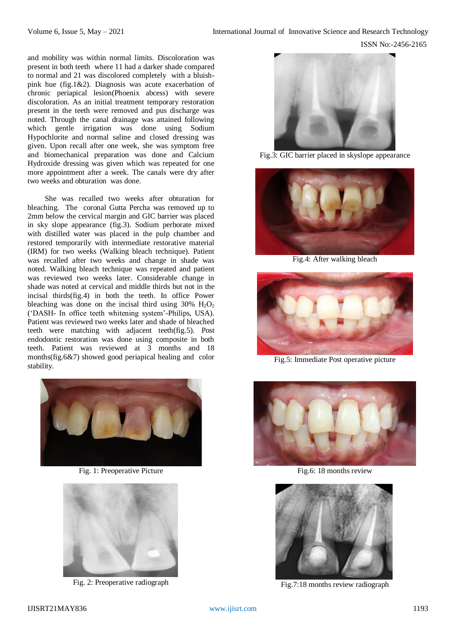and mobility was within normal limits. Discoloration was present in both teeth where 11 had a darker shade compared to normal and 21 was discolored completely with a bluishpink hue (fig.1&2). Diagnosis was acute exacerbation of chronic periapical lesion(Phoenix abcess) with severe discoloration. As an initial treatment temporary restoration present in the teeth were removed and pus discharge was noted. Through the canal drainage was attained following which gentle irrigation was done using Sodium Hypochlorite and normal saline and closed dressing was given. Upon recall after one week, she was symptom free and biomechanical preparation was done and Calcium Hydroxide dressing was given which was repeated for one more appointment after a week. The canals were dry after two weeks and obturation was done.

She was recalled two weeks after obturation for bleaching. The coronal Gutta Percha was removed up to 2mm below the cervical margin and GIC barrier was placed in sky slope appearance (fig.3). Sodium perborate mixed with distilled water was placed in the pulp chamber and restored temporarily with intermediate restorative material (IRM) for two weeks (Walking bleach technique). Patient was recalled after two weeks and change in shade was noted. Walking bleach technique was repeated and patient was reviewed two weeks later. Considerable change in shade was noted at cervical and middle thirds but not in the incisal thirds(fig.4) in both the teeth. In office Power bleaching was done on the incisal third using  $30\%$  H<sub>2</sub>O<sub>2</sub> ('DASH- In office teeth whitening system'-Philips, USA). Patient was reviewed two weeks later and shade of bleached teeth were matching with adjacent teeth(fig.5). Post endodontic restoration was done using composite in both teeth. Patient was reviewed at 3 months and 18 months(fig.6&7) showed good periapical healing and color stability.



Fig. 1: Preoperative Picture



Fig. 2: Preoperative radiograph



Fig.3: GIC barrier placed in skyslope appearance



Fig.4: After walking bleach



Fig.5: Immediate Post operative picture



Fig.6: 18 months review



Fig.7:18 months review radiograph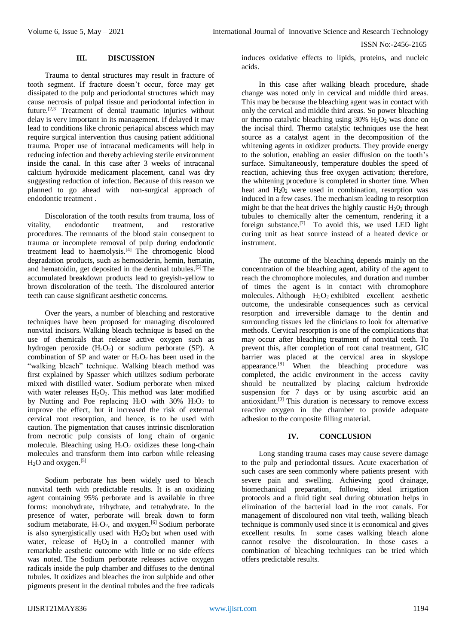ISSN No:-2456-2165

## **III. DISCUSSION**

Trauma to dental structures may result in fracture of tooth segment. If fracture doesn't occur, force may get dissipated to the pulp and periodontal structures which may cause necrosis of pulpal tissue and periodontal infection in future.[2,3] Treatment of dental traumatic injuries without delay is very important in its management. If delayed it may lead to conditions like chronic periapical abscess which may require surgical intervention thus causing patient additional trauma. Proper use of intracanal medicaments will help in reducing infection and thereby achieving sterile environment inside the canal. In this case after 3 weeks of intracanal calcium hydroxide medicament placement, canal was dry suggesting reduction of infection. Because of this reason we planned to go ahead with non-surgical approach of endodontic treatment .

Discoloration of the tooth results from trauma, loss of vitality, endodontic treatment, and restorative procedures. The remnants of the blood stain consequent to trauma or incomplete removal of pulp during endodontic treatment lead to haemolysis.[4] The chromogenic blood degradation products, such as hemosiderin, hemin, hematin, and hematoidin, get deposited in the dentinal tubules.<sup>[5]</sup> The accumulated breakdown products lead to greyish-yellow to brown discoloration of the teeth. The discoloured anterior teeth can cause significant aesthetic concerns.

Over the years, a number of bleaching and restorative techniques have been proposed for managing discoloured nonvital incisors. Walking bleach technique is based on the use of chemicals that release active oxygen such as hydrogen peroxide  $(H_2O_2)$  or sodium perborate (SP). A combination of SP and water or  $H_2O_2$  has been used in the "walking bleach" technique. Walking bleach method was first explained by Spasser which utilizes sodium perborate mixed with distilled water. Sodium perborate when mixed with water releases  $H_2O_2$ . This method was later modified by Nutting and Poe replacing  $H_2O$  with 30%  $H_2O_2$  to improve the effect, but it increased the risk of external cervical root resorption, and hence, is to be used with caution. The pigmentation that causes intrinsic discoloration from necrotic pulp consists of long chain of organic molecule. Bleaching using  $H_2O_2$  oxidizes these long-chain molecules and transform them into carbon while releasing H<sub>2</sub>O and oxygen.<sup>[5]</sup>

Sodium perborate has been widely used to bleach nonvital teeth with predictable results. It is an oxidizing agent containing 95% perborate and is available in three forms: monohydrate, trihydrate, and tetrahydrate. In the presence of water, perborate will break down to form sodium metaborate,  $H_2O_2$ , and oxygen.<sup>[6]</sup> Sodium perborate is also synergistically used with  $H_2O_2$  but when used with water, release of  $H_2O_2$  in a controlled manner with remarkable aesthetic outcome with little or no side effects was noted. The Sodium perborate releases active oxygen radicals inside the pulp chamber and diffuses to the dentinal tubules. It oxidizes and bleaches the iron sulphide and other pigments present in the dentinal tubules and the free radicals

induces oxidative effects to lipids, proteins, and nucleic acids.

In this case after walking bleach procedure, shade change was noted only in cervical and middle third areas. This may be because the bleaching agent was in contact with only the cervical and middle third areas. So power bleaching or thermo catalytic bleaching using  $30\%$  H<sub>2</sub>O<sub>2</sub> was done on the incisal third. Thermo catalytic techniques use the heat source as a catalyst agent in the decomposition of the whitening agents in oxidizer products. They provide energy to the solution, enabling an easier diffusion on the tooth's surface. Simultaneously, temperature doubles the speed of reaction, achieving thus free oxygen activation; therefore, the whitening procedure is completed in shorter time. When heat and  $H_2O_2$  were used in combination, resorption was induced in a few cases. The mechanism leading to resorption might be that the heat drives the highly caustic  $H_2O_2$  through tubules to chemically alter the cementum, rendering it a foreign substance.<sup>[7]</sup> To avoid this, we used LED light curing unit as heat source instead of a heated device or instrument.

The outcome of the bleaching depends mainly on the concentration of the bleaching agent, ability of the agent to reach the chromophore molecules, and duration and number of times the agent is in contact with chromophore molecules. Although  $H_2O_2$  exhibited excellent aesthetic outcome, the undesirable consequences such as cervical resorption and irreversible damage to the dentin and surrounding tissues led the clinicians to look for alternative methods. Cervical resorption is one of the complications that may occur after bleaching treatment of nonvital teeth. To prevent this, after completion of root canal treatment, GIC barrier was placed at the cervical area in skyslope appearance.<sup>[8]</sup> When the bleaching procedure was completed, the acidic environment in the access cavity should be neutralized by placing calcium hydroxide suspension for 7 days or by using ascorbic acid an antioxidant. [9] This duration is necessary to remove excess reactive oxygen in the chamber to provide adequate adhesion to the composite filling material.

## **IV. CONCLUSION**

Long standing trauma cases may cause severe damage to the pulp and periodontal tissues. Acute exacerbation of such cases are seen commonly where patients present with severe pain and swelling. Achieving good drainage, biomechanical preparation, following ideal irrigation protocols and a fluid tight seal during obturation helps in elimination of the bacterial load in the root canals. For management of discoloured non vital teeth, walking bleach technique is commonly used since it is economical and gives excellent results. In some cases walking bleach alone cannot resolve the discolouration. In those cases a combination of bleaching techniques can be tried which offers predictable results.